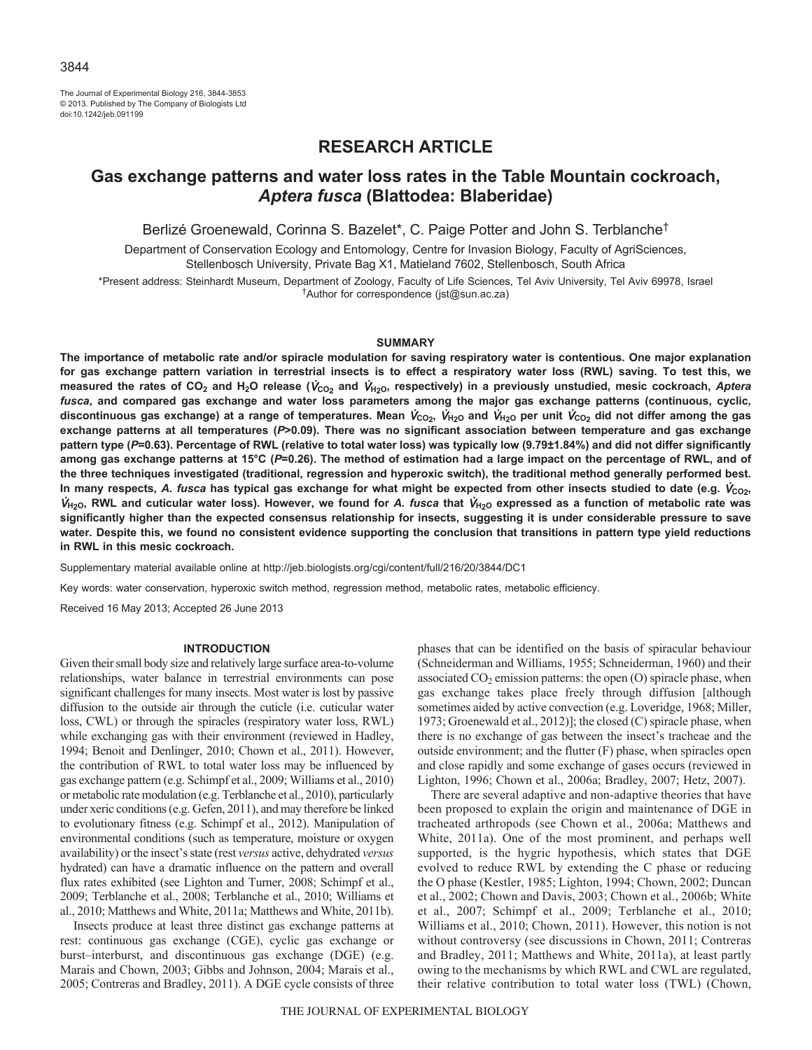The Journal of Experimental Biology 216, 3844-3853 © 2013. Published by The Company of Biologists Ltd doi:10.1242/jeb.091199

# **RESEARCH ARTICLE**

# **Gas exchange patterns and water loss rates in the Table Mountain cockroach,**  *Aptera fusca* **(Blattodea: Blaberidae)**

Berlizé Groenewald, Corinna S. Bazelet\*, C. Paige Potter and John S. Terblanche<sup>†</sup>

Department of Conservation Ecology and Entomology, Centre for Invasion Biology, Faculty of AgriSciences, Stellenbosch University, Private Bag X1, Matieland 7602, Stellenbosch, South Africa

\*Present address: Steinhardt Museum, Department of Zoology, Faculty of Life Sciences, Tel Aviv University, Tel Aviv 69978, Israel †Author for correspondence (jst@sun.ac.za)

#### **SUMMARY**

**The importance of metabolic rate and/or spiracle modulation for saving respiratory water is contentious. One major explanation for gas exchange pattern variation in terrestrial insects is to effect a respiratory water loss (RWL) saving. To test this, we measured the rates of CO2 and H2O release (**V**CO2 and** V**H2O, respectively) in a previously unstudied, mesic cockroach,** *Aptera fusca***, and compared gas exchange and water loss parameters among the major gas exchange patterns (continuous, cyclic,** discontinuous gas exchange) at a range of temperatures. Mean  $V_{CQ_2}$ ,  $V_{H_2O}$  and  $V_{H_2O}$  per unit  $V_{CQ_2}$  did not differ among the gas **exchange patterns at all temperatures (***P***>0.09). There was no significant association between temperature and gas exchange pattern type (***P***=0.63). Percentage of RWL (relative to total water loss) was typically low (9.79±1.84%) and did not differ significantly among gas exchange patterns at 15°C (***P***=0.26). The method of estimation had a large impact on the percentage of RWL, and of the three techniques investigated (traditional, regression and hyperoxic switch), the traditional method generally performed best.** In many respects, A. fusca has typical gas exchange for what might be expected from other insects studied to date (e.g.  $V_{\text{CO}_2}$ ,  $V_{H_2O}$ , RWL and cuticular water loss). However, we found for A. fusca that  $V_{H_2O}$  expressed as a function of metabolic rate was **significantly higher than the expected consensus relationship for insects, suggesting it is under considerable pressure to save water. Despite this, we found no consistent evidence supporting the conclusion that transitions in pattern type yield reductions in RWL in this mesic cockroach.**

Supplementary material available online at http://jeb.biologists.org/cgi/content/full/216/20/3844/DC1

Key words: water conservation, hyperoxic switch method, regression method, metabolic rates, metabolic efficiency.

Received 16 May 2013; Accepted 26 June 2013

#### **INTRODUCTION**

Given their small body size and relatively large surface area-to-volume relationships, water balance in terrestrial environments can pose significant challenges for many insects. Most water is lost by passive diffusion to the outside air through the cuticle (i.e. cuticular water loss, CWL) or through the spiracles (respiratory water loss, RWL) while exchanging gas with their environment (reviewed in Hadley, 1994; Benoit and Denlinger, 2010; Chown et al., 2011). However, the contribution of RWL to total water loss may be influenced by gas exchange pattern (e.g. Schimpf et al., 2009; Williams et al., 2010) or metabolic rate modulation (e.g. Terblanche et al., 2010), particularly under xeric conditions (e.g. Gefen, 2011), and may therefore be linked to evolutionary fitness (e.g. Schimpf et al., 2012). Manipulation of environmental conditions (such as temperature, moisture or oxygen availability) or the insect's state (rest *versus* active, dehydrated *versus* hydrated) can have a dramatic influence on the pattern and overall flux rates exhibited (see Lighton and Turner, 2008; Schimpf et al., 2009; Terblanche et al., 2008; Terblanche et al., 2010; Williams et al., 2010; Matthews and White, 2011a; Matthews and White, 2011b).

Insects produce at least three distinct gas exchange patterns at rest: continuous gas exchange (CGE), cyclic gas exchange or burst–interburst, and discontinuous gas exchange (DGE) (e.g. Marais and Chown, 2003; Gibbs and Johnson, 2004; Marais et al., 2005; Contreras and Bradley, 2011). A DGE cycle consists of three phases that can be identified on the basis of spiracular behaviour (Schneiderman and Williams, 1955; Schneiderman, 1960) and their associated  $CO<sub>2</sub>$  emission patterns: the open  $(O)$  spiracle phase, when gas exchange takes place freely through diffusion [although sometimes aided by active convection (e.g. Loveridge, 1968; Miller, 1973; Groenewald et al., 2012)]; the closed (C) spiracle phase, when there is no exchange of gas between the insect's tracheae and the outside environment; and the flutter (F) phase, when spiracles open and close rapidly and some exchange of gases occurs (reviewed in Lighton, 1996; Chown et al., 2006a; Bradley, 2007; Hetz, 2007).

There are several adaptive and non-adaptive theories that have been proposed to explain the origin and maintenance of DGE in tracheated arthropods (see Chown et al., 2006a; Matthews and White, 2011a). One of the most prominent, and perhaps well supported, is the hygric hypothesis, which states that DGE evolved to reduce RWL by extending the C phase or reducing the O phase (Kestler, 1985; Lighton, 1994; Chown, 2002; Duncan et al., 2002; Chown and Davis, 2003; Chown et al., 2006b; White et al., 2007; Schimpf et al., 2009; Terblanche et al., 2010; Williams et al., 2010; Chown, 2011). However, this notion is not without controversy (see discussions in Chown, 2011; Contreras and Bradley, 2011; Matthews and White, 2011a), at least partly owing to the mechanisms by which RWL and CWL are regulated, their relative contribution to total water loss (TWL) (Chown,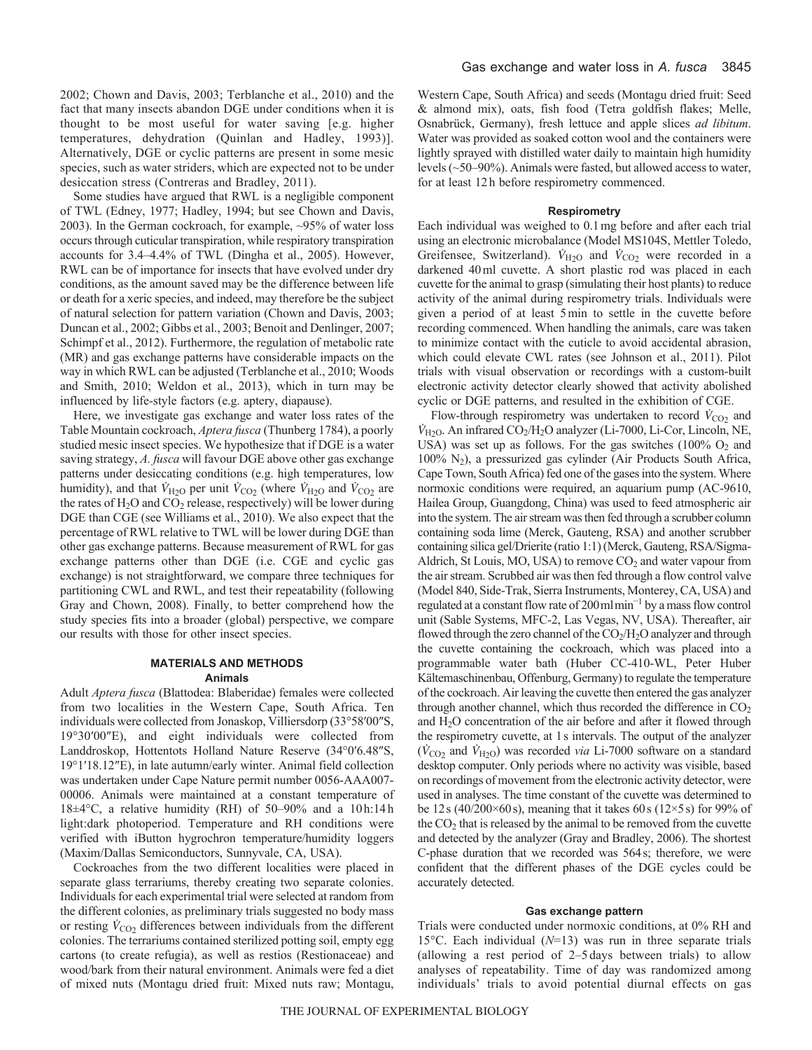2002; Chown and Davis, 2003; Terblanche et al., 2010) and the fact that many insects abandon DGE under conditions when it is thought to be most useful for water saving [e.g. higher temperatures, dehydration (Quinlan and Hadley, 1993)]. Alternatively, DGE or cyclic patterns are present in some mesic species, such as water striders, which are expected not to be under desiccation stress (Contreras and Bradley, 2011).

Some studies have argued that RWL is a negligible component of TWL (Edney, 1977; Hadley, 1994; but see Chown and Davis, 2003). In the German cockroach, for example, ~95% of water loss occurs through cuticular transpiration, while respiratory transpiration accounts for 3.4–4.4% of TWL (Dingha et al., 2005). However, RWL can be of importance for insects that have evolved under dry conditions, as the amount saved may be the difference between life or death for a xeric species, and indeed, may therefore be the subject of natural selection for pattern variation (Chown and Davis, 2003; Duncan et al., 2002; Gibbs et al., 2003; Benoit and Denlinger, 2007; Schimpf et al., 2012). Furthermore, the regulation of metabolic rate (MR) and gas exchange patterns have considerable impacts on the way in which RWL can be adjusted (Terblanche et al., 2010; Woods and Smith, 2010; Weldon et al., 2013), which in turn may be influenced by life-style factors (e.g. aptery, diapause).

Here, we investigate gas exchange and water loss rates of the Table Mountain cockroach, *Aptera fusca* (Thunberg 1784), a poorly studied mesic insect species. We hypothesize that if DGE is a water saving strategy, *A. fusca* will favour DGE above other gas exchange patterns under desiccating conditions (e.g. high temperatures, low humidity), and that  $\dot{V}_{\text{H}_2\text{O}}$  per unit  $\dot{V}_{\text{CO}_2}$  (where  $\dot{V}_{\text{H}_2\text{O}}$  and  $\dot{V}_{\text{CO}_2}$  are the rates of  $H_2O$  and  $CO_2$  release, respectively) will be lower during DGE than CGE (see Williams et al., 2010). We also expect that the percentage of RWL relative to TWL will be lower during DGE than other gas exchange patterns. Because measurement of RWL for gas exchange patterns other than DGE (i.e. CGE and cyclic gas exchange) is not straightforward, we compare three techniques for partitioning CWL and RWL, and test their repeatability (following Gray and Chown, 2008). Finally, to better comprehend how the study species fits into a broader (global) perspective, we compare our results with those for other insect species.

## **MATERIALS AND METHODS Animals**

Adult *Aptera fusca* (Blattodea: Blaberidae) females were collected from two localities in the Western Cape, South Africa. Ten individuals were collected from Jonaskop, Villiersdorp (33°58′00″S, 19°30′00″E), and eight individuals were collected from Landdroskop, Hottentots Holland Nature Reserve (34°0′6.48″S, 19°1′18.12″E), in late autumn/early winter. Animal field collection was undertaken under Cape Nature permit number 0056-AAA007- 00006. Animals were maintained at a constant temperature of 18±4°C, a relative humidity (RH) of 50–90% and a 10h:14h light:dark photoperiod. Temperature and RH conditions were verified with iButton hygrochron temperature/humidity loggers (Maxim/Dallas Semiconductors, Sunnyvale, CA, USA).

Cockroaches from the two different localities were placed in separate glass terrariums, thereby creating two separate colonies. Individuals for each experimental trial were selected at random from the different colonies, as preliminary trials suggested no body mass or resting  $\dot{V}_{\text{CO}_2}$  differences between individuals from the different colonies. The terrariums contained sterilized potting soil, empty egg cartons (to create refugia), as well as restios (Restionaceae) and wood/bark from their natural environment. Animals were fed a diet of mixed nuts (Montagu dried fruit: Mixed nuts raw; Montagu, Western Cape, South Africa) and seeds (Montagu dried fruit: Seed & almond mix), oats, fish food (Tetra goldfish flakes; Melle, Osnabrück, Germany), fresh lettuce and apple slices *ad libitum*. Water was provided as soaked cotton wool and the containers were lightly sprayed with distilled water daily to maintain high humidity levels (~50–90%). Animals were fasted, but allowed access to water, for at least 12h before respirometry commenced.

#### **Respirometry**

Each individual was weighed to 0.1mg before and after each trial using an electronic microbalance (Model MS104S, Mettler Toledo, Greifensee, Switzerland).  $\dot{V}_{\text{H2O}}$  and  $\dot{V}_{\text{CO2}}$  were recorded in a darkened 40ml cuvette. A short plastic rod was placed in each cuvette for the animal to grasp (simulating their host plants) to reduce activity of the animal during respirometry trials. Individuals were given a period of at least 5min to settle in the cuvette before recording commenced. When handling the animals, care was taken to minimize contact with the cuticle to avoid accidental abrasion, which could elevate CWL rates (see Johnson et al., 2011). Pilot trials with visual observation or recordings with a custom-built electronic activity detector clearly showed that activity abolished cyclic or DGE patterns, and resulted in the exhibition of CGE.

Flow-through respirometry was undertaken to record  $\dot{V}_{\text{CO2}}$  and  $\dot{V}_{\text{H2O}}$ . An infrared CO<sub>2</sub>/H<sub>2</sub>O analyzer (Li-7000, Li-Cor, Lincoln, NE, USA) was set up as follows. For the gas switches  $(100\% \text{ O}_2 \text{ and }$  $100\%$  N<sub>2</sub>), a pressurized gas cylinder (Air Products South Africa, Cape Town, South Africa) fed one of the gases into the system. Where normoxic conditions were required, an aquarium pump (AC-9610, Hailea Group, Guangdong, China) was used to feed atmospheric air into the system. The air stream was then fed through a scrubber column containing soda lime (Merck, Gauteng, RSA) and another scrubber containing silica gel/Drierite (ratio 1:1) (Merck, Gauteng, RSA/Sigma-Aldrich, St Louis, MO, USA) to remove  $CO<sub>2</sub>$  and water vapour from the air stream. Scrubbed air was then fed through a flow control valve (Model 840, Side-Trak, Sierra Instruments, Monterey, CA, USA) and regulated at a constant flow rate of 200mlmin<sup>−</sup><sup>1</sup> by a mass flow control unit (Sable Systems, MFC-2, Las Vegas, NV, USA). Thereafter, air flowed through the zero channel of the  $CO<sub>2</sub>/H<sub>2</sub>O$  analyzer and through the cuvette containing the cockroach, which was placed into a programmable water bath (Huber CC-410-WL, Peter Huber Kältemaschinenbau, Offenburg, Germany) to regulate the temperature of the cockroach. Air leaving the cuvette then entered the gas analyzer through another channel, which thus recorded the difference in  $CO<sub>2</sub>$ and H2O concentration of the air before and after it flowed through the respirometry cuvette, at 1s intervals. The output of the analyzer  $(\dot{V}_{CO2}$  and  $\dot{V}_{H2O})$  was recorded *via* Li-7000 software on a standard desktop computer. Only periods where no activity was visible, based on recordings of movement from the electronic activity detector, were used in analyses. The time constant of the cuvette was determined to be 12s (40/200 $\times$ 60s), meaning that it takes 60s (12 $\times$ 5s) for 99% of the  $CO<sub>2</sub>$  that is released by the animal to be removed from the cuvette and detected by the analyzer (Gray and Bradley, 2006). The shortest C-phase duration that we recorded was 564s; therefore, we were confident that the different phases of the DGE cycles could be accurately detected.

#### **Gas exchange pattern**

Trials were conducted under normoxic conditions, at 0% RH and 15°C. Each individual (*N*=13) was run in three separate trials (allowing a rest period of 2–5 days between trials) to allow analyses of repeatability. Time of day was randomized among individuals' trials to avoid potential diurnal effects on gas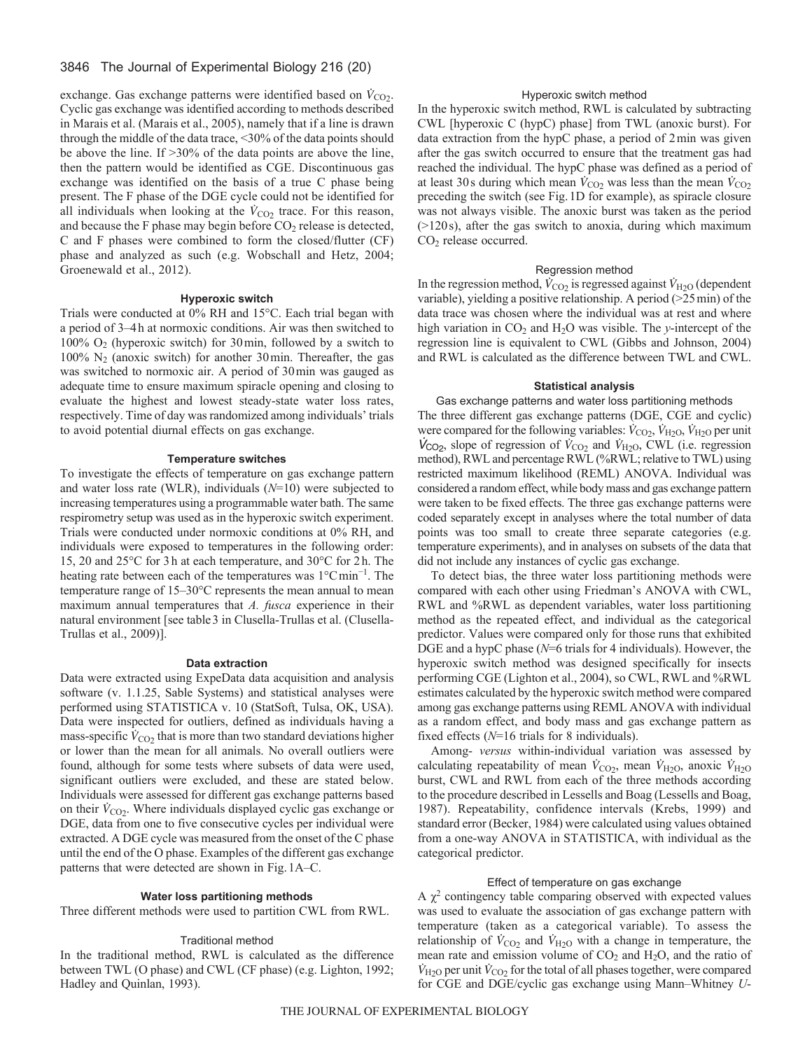## 3846 The Journal of Experimental Biology 216 (20)

exchange. Gas exchange patterns were identified based on  $\dot{V}_{\text{CO}_2}$ . Cyclic gas exchange was identified according to methods described in Marais et al. (Marais et al., 2005), namely that if a line is drawn through the middle of the data trace, <30% of the data points should be above the line. If >30% of the data points are above the line, then the pattern would be identified as CGE. Discontinuous gas exchange was identified on the basis of a true C phase being present. The F phase of the DGE cycle could not be identified for all individuals when looking at the  $\dot{V}_{CO_2}$  trace. For this reason, and because the F phase may begin before  $CO<sub>2</sub>$  release is detected, C and F phases were combined to form the closed/flutter (CF) phase and analyzed as such (e.g. Wobschall and Hetz, 2004; Groenewald et al., 2012).

#### **Hyperoxic switch**

Trials were conducted at 0% RH and 15°C. Each trial began with a period of 3–4h at normoxic conditions. Air was then switched to 100%  $O_2$  (hyperoxic switch) for 30 min, followed by a switch to  $100\%$  N<sub>2</sub> (anoxic switch) for another 30 min. Thereafter, the gas was switched to normoxic air. A period of 30min was gauged as adequate time to ensure maximum spiracle opening and closing to evaluate the highest and lowest steady-state water loss rates, respectively. Time of day was randomized among individuals' trials to avoid potential diurnal effects on gas exchange.

## **Temperature switches**

To investigate the effects of temperature on gas exchange pattern and water loss rate (WLR), individuals (*N*=10) were subjected to increasing temperatures using a programmable water bath. The same respirometry setup was used as in the hyperoxic switch experiment. Trials were conducted under normoxic conditions at 0% RH, and individuals were exposed to temperatures in the following order: 15, 20 and 25°C for 3h at each temperature, and 30°C for 2h. The heating rate between each of the temperatures was 1°Cmin<sup>-1</sup>. The temperature range of 15–30°C represents the mean annual to mean maximum annual temperatures that *A. fusca* experience in their natural environment [see table3 in Clusella-Trullas et al. (Clusella-Trullas et al., 2009)].

#### **Data extraction**

Data were extracted using ExpeData data acquisition and analysis software (v. 1.1.25, Sable Systems) and statistical analyses were performed using STATISTICA v. 10 (StatSoft, Tulsa, OK, USA). Data were inspected for outliers, defined as individuals having a mass-specific  $\dot{V}_{\text{CO}_2}$  that is more than two standard deviations higher or lower than the mean for all animals. No overall outliers were found, although for some tests where subsets of data were used, significant outliers were excluded, and these are stated below. Individuals were assessed for different gas exchange patterns based on their  $\dot{V}_{CO2}$ . Where individuals displayed cyclic gas exchange or DGE, data from one to five consecutive cycles per individual were extracted. A DGE cycle was measured from the onset of the C phase until the end of the O phase. Examples of the different gas exchange patterns that were detected are shown in Fig.1A–C.

### **Water loss partitioning methods**

Three different methods were used to partition CWL from RWL.

#### Traditional method

In the traditional method, RWL is calculated as the difference between TWL (O phase) and CWL (CF phase) (e.g. Lighton, 1992; Hadley and Quinlan, 1993).

## Hyperoxic switch method

In the hyperoxic switch method, RWL is calculated by subtracting CWL [hyperoxic C (hypC) phase] from TWL (anoxic burst). For data extraction from the hypC phase, a period of 2min was given after the gas switch occurred to ensure that the treatment gas had reached the individual. The hypC phase was defined as a period of at least 30s during which mean  $\dot{V}_{\text{CO}_2}$  was less than the mean  $\dot{V}_{\text{CO}_2}$ preceding the switch (see Fig.1D for example), as spiracle closure was not always visible. The anoxic burst was taken as the period  $(>=120 s)$ , after the gas switch to anoxia, during which maximum CO2 release occurred.

#### Regression method

In the regression method,  $\dot{V}_{\text{CO2}}$  is regressed against  $\dot{V}_{\text{H2O}}$  (dependent variable), yielding a positive relationship. A period (>25min) of the data trace was chosen where the individual was at rest and where high variation in  $CO<sub>2</sub>$  and  $H<sub>2</sub>O$  was visible. The *y*-intercept of the regression line is equivalent to CWL (Gibbs and Johnson, 2004) and RWL is calculated as the difference between TWL and CWL.

## **Statistical analysis**

Gas exchange patterns and water loss partitioning methods The three different gas exchange patterns (DGE, CGE and cyclic) were compared for the following variables:  $\dot{V}_{\text{CO}_2}$ ,  $\dot{V}_{\text{H}_2\text{O}}$ ,  $\dot{V}_{\text{H}_2\text{O}}$  per unit  $\dot{V}_{\text{CO}_2}$ , slope of regression of  $\dot{V}_{\text{CO}_2}$  and  $\dot{V}_{\text{H}_2\text{O}}$ , CWL (i.e. regression method), RWL and percentage RWL (%RWL; relative to TWL) using restricted maximum likelihood (REML) ANOVA. Individual was considered a random effect, while body mass and gas exchange pattern were taken to be fixed effects. The three gas exchange patterns were coded separately except in analyses where the total number of data points was too small to create three separate categories (e.g. temperature experiments), and in analyses on subsets of the data that did not include any instances of cyclic gas exchange.

To detect bias, the three water loss partitioning methods were compared with each other using Friedman's ANOVA with CWL, RWL and %RWL as dependent variables, water loss partitioning method as the repeated effect, and individual as the categorical predictor. Values were compared only for those runs that exhibited DGE and a hypC phase (*N*=6 trials for 4 individuals). However, the hyperoxic switch method was designed specifically for insects performing CGE (Lighton et al., 2004), so CWL, RWL and %RWL estimates calculated by the hyperoxic switch method were compared among gas exchange patterns using REML ANOVA with individual as a random effect, and body mass and gas exchange pattern as fixed effects (*N*=16 trials for 8 individuals).

Among- *versus* within-individual variation was assessed by calculating repeatability of mean  $\dot{V}_{CO2}$ , mean  $\dot{V}_{H2O}$ , anoxic  $\dot{V}_{H2O}$ burst, CWL and RWL from each of the three methods according to the procedure described in Lessells and Boag (Lessells and Boag, 1987). Repeatability, confidence intervals (Krebs, 1999) and standard error (Becker, 1984) were calculated using values obtained from a one-way ANOVA in STATISTICA, with individual as the categorical predictor.

#### Effect of temperature on gas exchange

A  $\chi^2$  contingency table comparing observed with expected values was used to evaluate the association of gas exchange pattern with temperature (taken as a categorical variable). To assess the relationship of  $\dot{V}_{CO2}$  and  $\dot{V}_{H2O}$  with a change in temperature, the mean rate and emission volume of  $CO<sub>2</sub>$  and  $H<sub>2</sub>O$ , and the ratio of  $\dot{V}_{\text{H2O}}$  per unit  $\dot{V}_{\text{CO}_2}$  for the total of all phases together, were compared for CGE and DGE/cyclic gas exchange using Mann–Whitney *U*-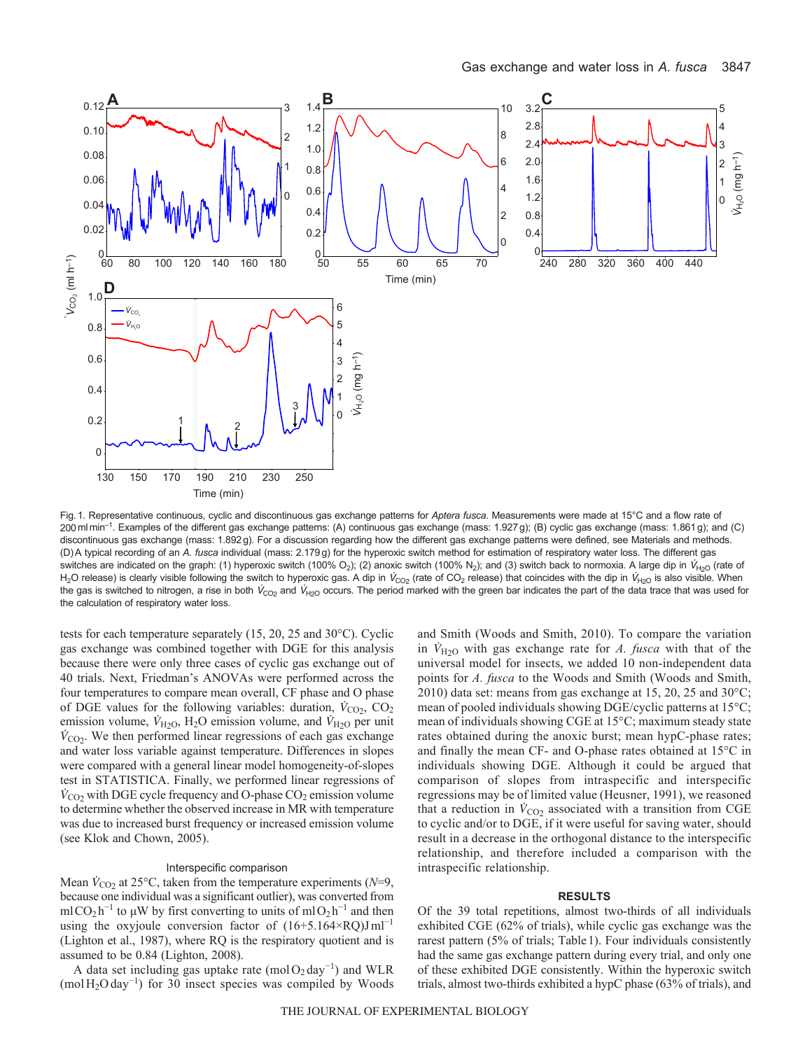

Fig.1. Representative continuous, cyclic and discontinuous gas exchange patterns for *Aptera fusca*. Measurements were made at 15°C and a flow rate of 200mlmin–1. Examples of the different gas exchange patterns: (A) continuous gas exchange (mass: 1.927 g); (B) cyclic gas exchange (mass: 1.861 g); and (C) discontinuous gas exchange (mass: 1.892 g). For a discussion regarding how the different gas exchange patterns were defined, see Materials and methods. (D)A typical recording of an *A. fusca* individual (mass: 2.179 g) for the hyperoxic switch method for estimation of respiratory water loss. The different gas switches are indicated on the graph: (1) hyperoxic switch (100% O<sub>2</sub>); (2) anoxic switch (100% N<sub>2</sub>); and (3) switch back to normoxia. A large dip in  $V_{H_2O}$  (rate of H<sub>2</sub>O release) is clearly visible following the switch to hyperoxic gas. A dip in  $V_{CQ_2}$  (rate of CO<sub>2</sub> release) that coincides with the dip in  $V_{H_2O}$  is also visible. When the gas is switched to nitrogen, a rise in both  $V_{CO_2}$  and  $V_{H_2O}$  occurs. The period marked with the green bar indicates the part of the data trace that was used for the calculation of respiratory water loss.

tests for each temperature separately (15, 20, 25 and 30°C). Cyclic gas exchange was combined together with DGE for this analysis because there were only three cases of cyclic gas exchange out of 40 trials. Next, Friedman's ANOVAs were performed across the four temperatures to compare mean overall, CF phase and O phase of DGE values for the following variables: duration,  $\dot{V}_{\text{CO}_2}$ , CO<sub>2</sub> emission volume,  $\dot{V}_{\text{H2O}}$ , H<sub>2</sub>O emission volume, and  $\dot{V}_{\text{H2O}}$  per unit  $\dot{V}_{\text{CO}_2}$ . We then performed linear regressions of each gas exchange and water loss variable against temperature. Differences in slopes were compared with a general linear model homogeneity-of-slopes test in STATISTICA. Finally, we performed linear regressions of  $\dot{V}_{\text{CO}_2}$  with DGE cycle frequency and O-phase CO<sub>2</sub> emission volume to determine whether the observed increase in MR with temperature was due to increased burst frequency or increased emission volume (see Klok and Chown, 2005).

#### Interspecific comparison

Mean  $\dot{V}_{\text{CO}_2}$  at 25°C, taken from the temperature experiments ( $N=9$ , because one individual was a significant outlier), was converted from mlCO<sub>2</sub> h<sup>-1</sup> to μW by first converting to units of mlO<sub>2</sub> h<sup>-1</sup> and then using the oxyjoule conversion factor of  $(16+5.164 \times RQ)$ Jml<sup>-1</sup> (Lighton et al., 1987), where RQ is the respiratory quotient and is assumed to be 0.84 (Lighton, 2008).

A data set including gas uptake rate (mol $O_2$ day<sup>-1</sup>) and WLR (molH2Oday<sup>−</sup><sup>1</sup> ) for 30 insect species was compiled by Woods and Smith (Woods and Smith, 2010). To compare the variation in  $V_{H2O}$  with gas exchange rate for *A. fusca* with that of the universal model for insects, we added 10 non-independent data points for *A. fusca* to the Woods and Smith (Woods and Smith, 2010) data set: means from gas exchange at 15, 20, 25 and 30°C; mean of pooled individuals showing DGE/cyclic patterns at 15°C; mean of individuals showing CGE at 15°C; maximum steady state rates obtained during the anoxic burst; mean hypC-phase rates; and finally the mean CF- and O-phase rates obtained at 15°C in individuals showing DGE. Although it could be argued that comparison of slopes from intraspecific and interspecific regressions may be of limited value (Heusner, 1991), we reasoned that a reduction in  $\dot{V}_{CO2}$  associated with a transition from CGE to cyclic and/or to DGE, if it were useful for saving water, should result in a decrease in the orthogonal distance to the interspecific relationship, and therefore included a comparison with the intraspecific relationship.

#### **RESULTS**

Of the 39 total repetitions, almost two-thirds of all individuals exhibited CGE (62% of trials), while cyclic gas exchange was the rarest pattern (5% of trials; Table1). Four individuals consistently had the same gas exchange pattern during every trial, and only one of these exhibited DGE consistently. Within the hyperoxic switch trials, almost two-thirds exhibited a hypC phase (63% of trials), and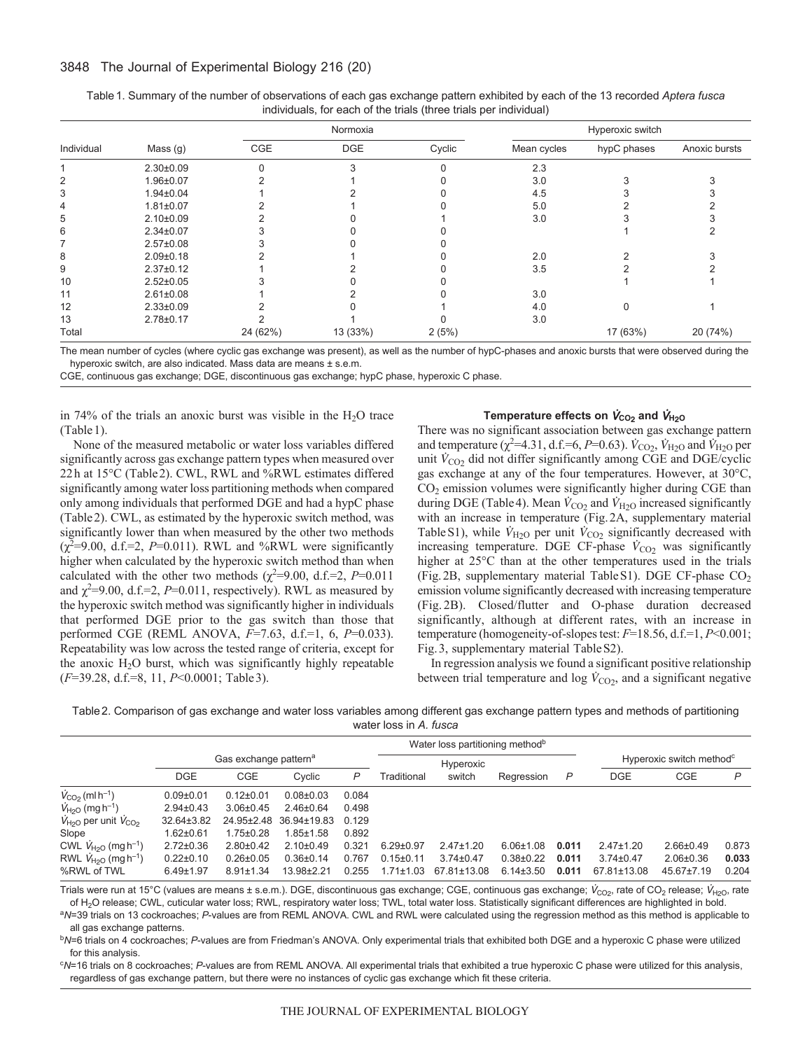|            |                 |          | Normoxia   |        |             | Hyperoxic switch |               |
|------------|-----------------|----------|------------|--------|-------------|------------------|---------------|
| Individual | Mass (g)        | CGE      | <b>DGE</b> | Cyclic | Mean cycles | hypC phases      | Anoxic bursts |
|            | $2.30 \pm 0.09$ |          |            |        | 2.3         |                  |               |
| 2          | 1.96±0.07       |          |            |        | 3.0         |                  |               |
|            | $1.94 \pm 0.04$ |          |            |        | 4.5         |                  |               |
| 4          | $1.81 \pm 0.07$ |          |            |        | 5.0         |                  |               |
| 5          | $2.10 \pm 0.09$ |          |            |        | 3.0         |                  |               |
| 6          | $2.34 \pm 0.07$ |          |            |        |             |                  |               |
|            | $2.57 \pm 0.08$ |          |            |        |             |                  |               |
| 8          | $2.09 \pm 0.18$ |          |            |        | 2.0         |                  |               |
| 9          | $2.37 \pm 0.12$ |          |            |        | 3.5         |                  |               |
| 10         | $2.52 \pm 0.05$ |          |            |        |             |                  |               |
| 11         | $2.61 \pm 0.08$ |          |            |        | 3.0         |                  |               |
| 12         | $2.33 \pm 0.09$ |          |            |        | 4.0         |                  |               |
| 13         | $2.78 \pm 0.17$ |          |            |        | 3.0         |                  |               |
| Total      |                 | 24 (62%) | 13 (33%)   | 2(5%)  |             | 17 (63%)         | 20 (74%)      |

| Table 1. Summary of the number of observations of each gas exchange pattern exhibited by each of the 13 recorded Aptera fusca |  |
|-------------------------------------------------------------------------------------------------------------------------------|--|
| individuals, for each of the trials (three trials per individual)                                                             |  |

The mean number of cycles (where cyclic gas exchange was present), as well as the number of hypC-phases and anoxic bursts that were observed during the hyperoxic switch, are also indicated. Mass data are means ± s.e.m.

CGE, continuous gas exchange; DGE, discontinuous gas exchange; hypC phase, hyperoxic C phase.

in 74% of the trials an anoxic burst was visible in the  $H<sub>2</sub>O$  trace (Table1).

None of the measured metabolic or water loss variables differed significantly across gas exchange pattern types when measured over 22h at 15°C (Table2). CWL, RWL and %RWL estimates differed significantly among water loss partitioning methods when compared only among individuals that performed DGE and had a hypC phase (Table2). CWL, as estimated by the hyperoxic switch method, was significantly lower than when measured by the other two methods  $(\chi^2=9.00, d.f.=2, P=0.011)$ . RWL and %RWL were significantly higher when calculated by the hyperoxic switch method than when calculated with the other two methods ( $\chi^2$ =9.00, d.f.=2, *P*=0.011 and  $\chi^2$ =9.00, d.f.=2, *P*=0.011, respectively). RWL as measured by the hyperoxic switch method was significantly higher in individuals that performed DGE prior to the gas switch than those that performed CGE (REML ANOVA, *F*=7.63, d.f.=1, 6, *P*=0.033). Repeatability was low across the tested range of criteria, except for the anoxic  $H<sub>2</sub>O$  burst, which was significantly highly repeatable (*F*=39.28, d.f.=8, 11, *P*<0.0001; Table3).

## **Temperature effects on**  $\dot{V}_{CO_2}$  **and**  $\dot{V}_{H_2O}$

There was no significant association between gas exchange pattern and temperature ( $\chi^2$ =4.31, d.f.=6, *P*=0.63).  $\dot{V}_{\text{CO}_2}$ ,  $\dot{V}_{\text{H}_2\text{O}}$  and  $\dot{V}_{\text{H}_2\text{O}}$  per unit  $\dot{V}_{\text{CO2}}$  did not differ significantly among CGE and DGE/cyclic gas exchange at any of the four temperatures. However, at 30°C, CO2 emission volumes were significantly higher during CGE than during DGE (Table 4). Mean  $\dot{V}_{CO2}$  and  $\dot{V}_{H2O}$  increased significantly with an increase in temperature (Fig.2A, supplementary material Table S1), while  $\dot{V}_{\text{H}_2\text{O}}$  per unit  $\dot{V}_{\text{CO}_2}$  significantly decreased with increasing temperature. DGE CF-phase  $\dot{V}_{\text{CO2}}$  was significantly higher at 25°C than at the other temperatures used in the trials (Fig.2B, supplementary material TableS1). DGE CF-phase CO2 emission volume significantly decreased with increasing temperature (Fig. 2B). Closed/flutter and O-phase duration decreased significantly, although at different rates, with an increase in temperature (homogeneity-of-slopes test: *F*=18.56, d.f.=1, *P*<0.001; Fig.3, supplementary material TableS2).

In regression analysis we found a significant positive relationship between trial temperature and log  $\dot{V}_{CO2}$ , and a significant negative

| Table 2. Comparison of gas exchange and water loss variables among different gas exchange pattern types and methods of partitioning |
|-------------------------------------------------------------------------------------------------------------------------------------|
| water loss in A, fusca                                                                                                              |

|                                            |                 |                                   |                 |       |                 | Water loss partitioning method <sup>b</sup> |                 |       |                 |                                      |       |
|--------------------------------------------|-----------------|-----------------------------------|-----------------|-------|-----------------|---------------------------------------------|-----------------|-------|-----------------|--------------------------------------|-------|
|                                            |                 | Gas exchange pattern <sup>a</sup> |                 |       |                 | Hyperoxic                                   |                 |       |                 | Hyperoxic switch method <sup>c</sup> |       |
|                                            | <b>DGE</b>      | <b>CGE</b>                        | Cyclic          | P     | Traditional     | switch                                      | Regression      | P     | <b>DGE</b>      | CGE                                  | P     |
| $\dot{V}_{\rm CO_2}$ (ml h <sup>-1</sup> ) | $0.09 + 0.01$   | $0.12 \pm 0.01$                   | $0.08 + 0.03$   | 0.084 |                 |                                             |                 |       |                 |                                      |       |
| $V_{H20}$ (mg h <sup>-1</sup> )            | $2.94 \pm 0.43$ | $3.06 + 0.45$                     | $2.46 \pm 0.64$ | 0.498 |                 |                                             |                 |       |                 |                                      |       |
| $V_{H20}$ per unit $V_{C02}$               | 32.64±3.82      | 24.95±2.48                        | 36.94±19.83     | 0.129 |                 |                                             |                 |       |                 |                                      |       |
| Slope                                      | $1.62 \pm 0.61$ | $1.75 \pm 0.28$                   | $1.85 \pm 1.58$ | 0.892 |                 |                                             |                 |       |                 |                                      |       |
| CWL $V_{H20}$ (mg h <sup>-1</sup> )        | $2.72 \pm 0.36$ | $2.80+0.42$                       | $2.10+0.49$     | 0.321 | $6.29 \pm 0.97$ | $2.47 \pm 1.20$                             | $6.06 \pm 1.08$ | 0.011 | $2.47 \pm 1.20$ | $2.66 \pm 0.49$                      | 0.873 |
| RWL $V_{H20}$ (mg h <sup>-1</sup> )        | $0.22 \pm 0.10$ | $0.26 \pm 0.05$                   | $0.36 + 0.14$   | 0.767 | $0.15 \pm 0.11$ | $3.74 \pm 0.47$                             | $0.38 + 0.22$   | 0.011 | $3.74 \pm 0.47$ | $2.06 \pm 0.36$                      | 0.033 |
| %RWL of TWL                                | $6.49 \pm 1.97$ | $8.91 \pm 1.34$                   | 13.98±2.21      | 0.255 | $1.71 \pm 1.03$ | 67.81±13.08                                 | $6.14 \pm 3.50$ | 0.011 | 67.81±13.08     | 45.67±7.19                           | 0.204 |

Trials were run at 15°C (values are means ± s.e.m.). DGE, discontinuous gas exchange; CGE, continuous gas exchange;  $V_{\text{CO}_2}$ , rate of CO<sub>2</sub> release;  $V_{\text{H}_2\text{O}}$ , rate of H2O release; CWL, cuticular water loss; RWL, respiratory water loss; TWL, total water loss. Statistically significant differences are highlighted in bold.

<sup>a</sup>*N*=39 trials on 13 cockroaches; *P*-values are from REML ANOVA. CWL and RWL were calculated using the regression method as this method is applicable to all gas exchange patterns.

<sup>b</sup>*N*=6 trials on 4 cockroaches; *P*-values are from Friedman's ANOVA. Only experimental trials that exhibited both DGE and a hyperoxic C phase were utilized for this analysis.

c *N*=16 trials on 8 cockroaches; *P*-values are from REML ANOVA. All experimental trials that exhibited a true hyperoxic C phase were utilized for this analysis, regardless of gas exchange pattern, but there were no instances of cyclic gas exchange which fit these criteria.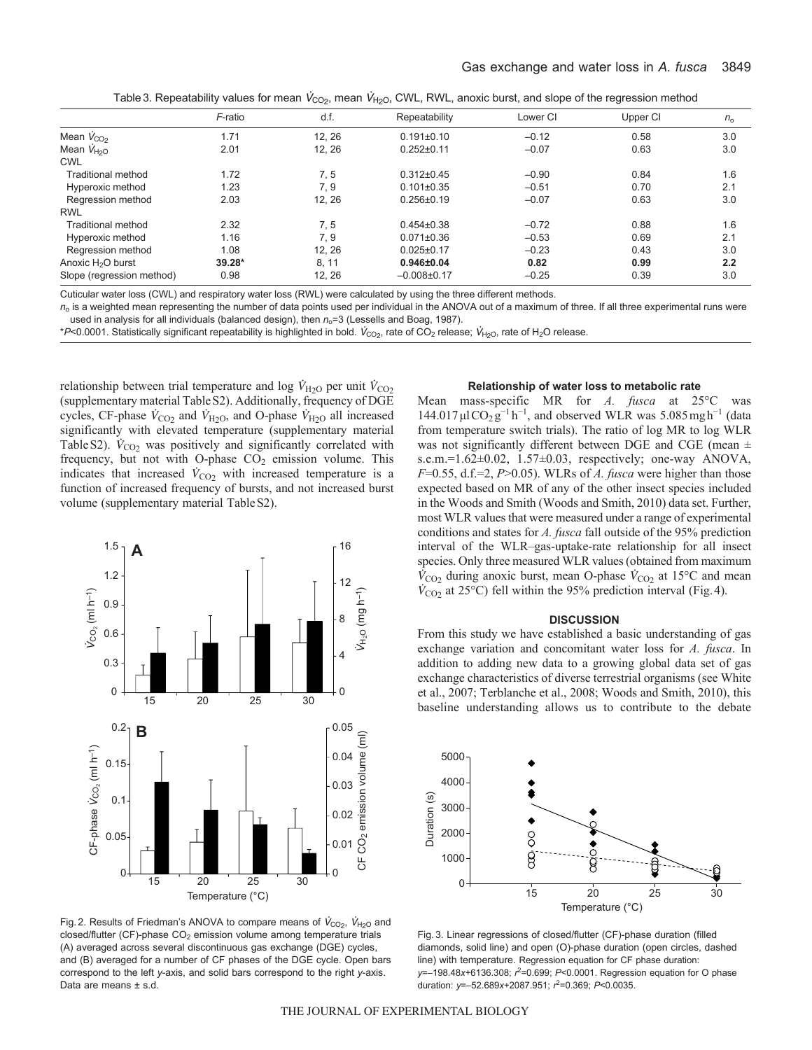|  |  | Table 3. Repeatability values for mean $V_{\text{CO}_2}$ , mean $V_{\text{H}_2\text{O}}$ , CWL, RWL, anoxic burst, and slope of the regression method |
|--|--|-------------------------------------------------------------------------------------------------------------------------------------------------------|
|--|--|-------------------------------------------------------------------------------------------------------------------------------------------------------|

|                               | F-ratio  | d.f.   | Repeatability    | Lower CI | Upper CI | $n_{\rm o}$ |
|-------------------------------|----------|--------|------------------|----------|----------|-------------|
| Mean $V_{CO2}$                | 1.71     | 12.26  | $0.191 \pm 0.10$ | $-0.12$  | 0.58     | 3.0         |
| Mean $\dot{V}_{H20}$          | 2.01     | 12, 26 | $0.252 \pm 0.11$ | $-0.07$  | 0.63     | 3.0         |
| <b>CWL</b>                    |          |        |                  |          |          |             |
| Traditional method            | 1.72     | 7.5    | $0.312 \pm 0.45$ | $-0.90$  | 0.84     | 1.6         |
| Hyperoxic method              | 1.23     | 7.9    | $0.101 \pm 0.35$ | $-0.51$  | 0.70     | 2.1         |
| Regression method             | 2.03     | 12.26  | $0.256 \pm 0.19$ | $-0.07$  | 0.63     | 3.0         |
| <b>RWL</b>                    |          |        |                  |          |          |             |
| Traditional method            | 2.32     | 7, 5   | $0.454\pm0.38$   | $-0.72$  | 0.88     | 1.6         |
| Hyperoxic method              | 1.16     | 7.9    | $0.071 \pm 0.36$ | $-0.53$  | 0.69     | 2.1         |
| Regression method             | 1.08     | 12, 26 | $0.025 \pm 0.17$ | $-0.23$  | 0.43     | 3.0         |
| Anoxic H <sub>2</sub> O burst | $39.28*$ | 8, 11  | $0.946 \pm 0.04$ | 0.82     | 0.99     | 2.2         |
| Slope (regression method)     | 0.98     | 12, 26 | $-0.008\pm0.17$  | $-0.25$  | 0.39     | 3.0         |

Cuticular water loss (CWL) and respiratory water loss (RWL) were calculated by using the three different methods.

 $n<sub>o</sub>$  is a weighted mean representing the number of data points used per individual in the ANOVA out of a maximum of three. If all three experimental runs were used in analysis for all individuals (balanced design), then  $n_0$ =3 (Lessells and Boag, 1987).

*\*P*<0.0001. Statistically significant repeatability is highlighted in bold. V<sub>CO2</sub>, rate of CO<sub>2</sub> release; V<sub>H2O</sub>, rate of H<sub>2</sub>O release.

relationship between trial temperature and log  $V_{H2O}$  per unit  $V_{CO_2}$ (supplementary material TableS2). Additionally, frequency of DGE cycles, CF-phase  $\dot{V}_{CO2}$  and  $\dot{V}_{H2O}$ , and O-phase  $\dot{V}_{H2O}$  all increased significantly with elevated temperature (supplementary material Table S2).  $\dot{V}_{CO2}$  was positively and significantly correlated with frequency, but not with O-phase  $CO<sub>2</sub>$  emission volume. This indicates that increased  $\dot{V}_{CO2}$  with increased temperature is a function of increased frequency of bursts, and not increased burst volume (supplementary material TableS2).



Fig. 2. Results of Friedman's ANOVA to compare means of  $V_{CO<sub>2</sub>}, V_{H<sub>2</sub>O}$  and  $closed/flutter$  (CF)-phase  $CO<sub>2</sub>$  emission volume among temperature trials (A) averaged across several discontinuous gas exchange (DGE) cycles, and (B) averaged for a number of CF phases of the DGE cycle. Open bars correspond to the left *y*-axis, and solid bars correspond to the right *y*-axis. Data are means ± s.d.

# **Relationship of water loss to metabolic rate**

Mean mass-specific MR for *A. fusca* at 25°C was  $144.017 \mu$ lCO<sub>2</sub> $g^{-1}h^{-1}$ , and observed WLR was 5.085 mgh<sup>-1</sup> (data from temperature switch trials). The ratio of log MR to log WLR was not significantly different between DGE and CGE (mean  $\pm$ s.e.m.=1.62±0.02, 1.57±0.03, respectively; one-way ANOVA, *F*=0.55, d.f.=2, *P*>0.05). WLRs of *A. fusca* were higher than those expected based on MR of any of the other insect species included in the Woods and Smith (Woods and Smith, 2010) data set. Further, most WLR values that were measured under a range of experimental conditions and states for *A. fusca* fall outside of the 95% prediction interval of the WLR–gas-uptake-rate relationship for all insect species. Only three measured WLR values (obtained from maximum  $\dot{V}_{\text{CO}_2}$  during anoxic burst, mean O-phase  $\dot{V}_{\text{CO}_2}$  at 15°C and mean  $\dot{V}_{\text{CO2}}$  at 25°C) fell within the 95% prediction interval (Fig. 4).

### **DISCUSSION**

From this study we have established a basic understanding of gas exchange variation and concomitant water loss for *A. fusca*. In addition to adding new data to a growing global data set of gas exchange characteristics of diverse terrestrial organisms (see White et al., 2007; Terblanche et al., 2008; Woods and Smith, 2010), this baseline understanding allows us to contribute to the debate



Fig. 3. Linear regressions of closed/flutter (CF)-phase duration (filled diamonds, solid line) and open (O)-phase duration (open circles, dashed line) with temperature. Regression equation for CF phase duration: *y*=–198.48*x*+6136.308; *r* 2=0.699; *P*<0.0001. Regression equation for O phase duration: *y*=–52.689*x*+2087.951; *r* 2=0.369; *P*<0.0035.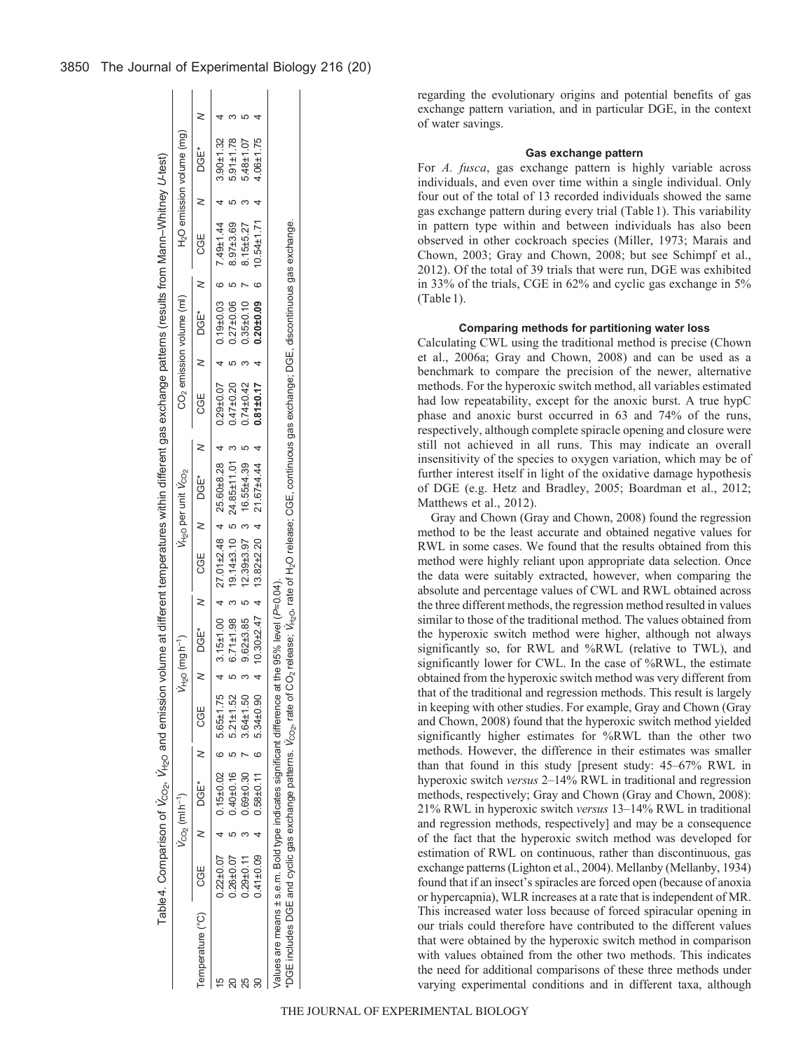|                                   |                   | $V_{\rm CO}$ , (ml h <sup>-1</sup> ) |                                   | ر<br>دوم<br>(1 | $mgh^{-1}$ |                                                        | V <sub>H2O</sub> per unit V <sub>CO2</sub> |   |                 |   | CO <sub>2</sub> emission volume (ml)                |                                    | H <sub>2</sub> O emission volume (mg) |  |
|-----------------------------------|-------------------|--------------------------------------|-----------------------------------|----------------|------------|--------------------------------------------------------|--------------------------------------------|---|-----------------|---|-----------------------------------------------------|------------------------------------|---------------------------------------|--|
| Temperature (°C) CGE N DGE* N CGE |                   |                                      |                                   |                | DGE* N     | CGE N DGE*                                             |                                            | z |                 |   | CGE N DGE*                                          | CGE                                | $N$ DGE*                              |  |
| 40                                | $0.22 \pm 0.07$ 4 | $0.15\pm0.02$ 6 $5.65\pm1.75$        |                                   |                |            | $3.15\pm1.00$ 4 $27.01\pm2.48$ 4 $25.60\pm8.28$ 4      |                                            |   |                 |   | $0.29 \pm 0.07$ 4 0.19 $\pm 0.03$ 6 7.49 $\pm 1.44$ |                                    | $3.90 + 1.32$                         |  |
|                                   | $0.26 + 0.07$     | $0.40 \pm 0.16$ 5                    | $5.21 \pm 1.52$                   |                |            | 6.71±1.98 3 19.14±3.10 5 24.85±11.01 3                 |                                            |   | $0.47 + 0.20$   |   | $0.27 \pm 0.06$                                     | 8.97±3.69                          | $5.91 \pm 1.78$                       |  |
|                                   | $0.29 + 0.11$     |                                      | $0.69 \pm 0.30$ 7 3.64 $\pm 1.50$ |                |            | 9.62±3.85 5 12.39±3.97 3 16.55±4.39                    |                                            |   | $0.74 \pm 0.42$ |   | $0.35\pm0.10$ 7                                     | $8.15 + 5.27$                      | $5.48 \pm 1.07$                       |  |
|                                   | $0.41 \pm 0.09$   | $0.58\pm0.11$ 6 5.34 $\pm$ 0.90      |                                   |                |            | $10.30 \pm 2.47$ 4 $13.82 \pm 2.20$ 4 $21.67 \pm 4.44$ |                                            |   | $0.81 \pm 0.17$ | 4 |                                                     | $0.20 \pm 0.09$ 6 10.54 $\pm$ 1.71 | $4.06 \pm 1.75$                       |  |

regarding the evolutionary origins and potential benefits of gas exchange pattern variation, and in particular DGE, in the context of water savings.

#### **Gas exchange pattern**

For *A. fusca*, gas exchange pattern is highly variable across individuals, and even over time within a single individual. Only four out of the total of 13 recorded individuals showed the same gas exchange pattern during every trial (Table1). This variability in pattern type within and between individuals has also been observed in other cockroach species (Miller, 1973; Marais and Chown, 2003; Gray and Chown, 2008; but see Schimpf et al., 2012). Of the total of 39 trials that were run, DGE was exhibited in 33% of the trials, CGE in 62% and cyclic gas exchange in 5% (Table 1).

#### **Comparing methods for partitioning water loss**

Calculating CWL using the traditional method is precise (Chown et al., 2006a; Gray and Chown, 2008) and can be used as a benchmark to compare the precision of the newer, alternative methods. For the hyperoxic switch method, all variables estimated had low repeatability, except for the anoxic burst. A true hypC phase and anoxic burst occurred in 63 and 74% of the runs, respectively, although complete spiracle opening and closure were still not achieved in all runs. This may indicate an overall insensitivity of the species to oxygen variation, which may be of further interest itself in light of the oxidative damage hypothesis of DGE (e.g. Hetz and Bradley, 2005; Boardman et al., 2012; Matthews et al., 2012).

Gray and Chown (Gray and Chown, 2008) found the regression method to be the least accurate and obtained negative values for RWL in some cases. We found that the results obtained from this method were highly reliant upon appropriate data selection. Once the data were suitably extracted, however, when comparing the absolute and percentage values of CWL and RWL obtained across the three different methods, the regression method resulted in values similar to those of the traditional method. The values obtained from the hyperoxic switch method were higher, although not always significantly so, for RWL and %RWL (relative to TWL), and significantly lower for CWL. In the case of %RWL, the estimate obtained from the hyperoxic switch method was very different from that of the traditional and regression methods. This result is largely in keeping with other studies. For example, Gray and Chown (Gray and Chown, 2008) found that the hyperoxic switch method yielded significantly higher estimates for %RWL than the other two methods. However, the difference in their estimates was smaller than that found in this study [present study: 45–67% RWL in hyperoxic switch *versus* 2–14% RWL in traditional and regression methods, respectively; Gray and Chown (Gray and Chown, 2008): 21% RWL in hyperoxic switch *versus* 13–14% RWL in traditional and regression methods, respectively] and may be a consequence of the fact that the hyperoxic switch method was developed for estimation of RWL on continuous, rather than discontinuous, gas exchange patterns (Lighton et al., 2004). Mellanby (Mellanby, 1934) found that if an insect's spiracles are forced open (because of anoxia or hypercapnia), WLR increases at a rate that is independent of MR. This increased water loss because of forced spiracular opening in our trials could therefore have contributed to the different values that were obtained by the hyperoxic switch method in comparison with values obtained from the other two methods. This indicates the need for additional comparisons of these three methods under varying experimental conditions and in different taxa, although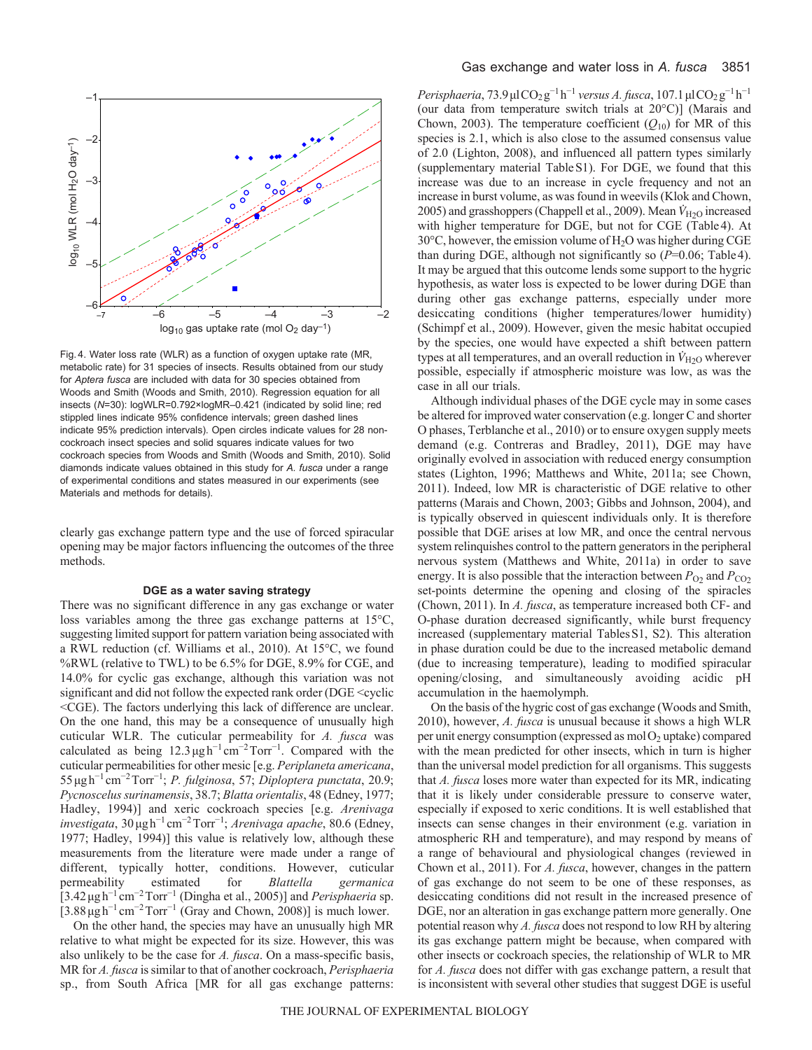

Fig. 4. Water loss rate (WLR) as a function of oxygen uptake rate (MR, metabolic rate) for 31 species of insects. Results obtained from our study for *Aptera fusca* are included with data for 30 species obtained from Woods and Smith (Woods and Smith, 2010). Regression equation for all insects (*N*=30): logWLR=0.792×logMR–0.421 (indicated by solid line; red stippled lines indicate 95% confidence intervals; green dashed lines indicate 95% prediction intervals). Open circles indicate values for 28 noncockroach insect species and solid squares indicate values for two cockroach species from Woods and Smith (Woods and Smith, 2010). Solid diamonds indicate values obtained in this study for *A. fusca* under a range of experimental conditions and states measured in our experiments (see Materials and methods for details).

clearly gas exchange pattern type and the use of forced spiracular opening may be major factors influencing the outcomes of the three methods.

#### **DGE as a water saving strategy**

There was no significant difference in any gas exchange or water loss variables among the three gas exchange patterns at 15°C, suggesting limited support for pattern variation being associated with a RWL reduction (cf. Williams et al., 2010). At 15°C, we found %RWL (relative to TWL) to be 6.5% for DGE, 8.9% for CGE, and 14.0% for cyclic gas exchange, although this variation was not significant and did not follow the expected rank order (DGE <cyclic <CGE). The factors underlying this lack of difference are unclear. On the one hand, this may be a consequence of unusually high cuticular WLR. The cuticular permeability for *A. fusca* was calculated as being  $12.3 \mu g h^{-1} cm^{-2} Torr^{-1}$ . Compared with the cuticular permeabilities for other mesic [e.g. *Periplaneta americana*, 55μgh<sup>−</sup><sup>1</sup> cm<sup>−</sup>2Torr−<sup>1</sup> ; *P. fulginosa*, 57; *Diploptera punctata*, 20.9; *Pycnoscelus surinamensis*, 38.7; *Blatta orientalis*, 48 (Edney, 1977; Hadley, 1994)] and xeric cockroach species [e.g. *Arenivaga investigata*, 30μgh<sup>−</sup><sup>1</sup> cm<sup>−</sup>2Torr−<sup>1</sup> ; *Arenivaga apache*, 80.6 (Edney, 1977; Hadley, 1994)] this value is relatively low, although these measurements from the literature were made under a range of different, typically hotter, conditions. However, cuticular permeability estimated for *Blattella germanica* [3.42μgh−<sup>1</sup> cm<sup>−</sup>2Torr−<sup>1</sup> (Dingha et al., 2005)] and *Perisphaeria* sp.  $[3.88 \mu g h^{-1} cm^{-2} Torr^{-1}$  (Gray and Chown, 2008)] is much lower.

On the other hand, the species may have an unusually high MR relative to what might be expected for its size. However, this was also unlikely to be the case for *A. fusca*. On a mass-specific basis, MR for *A. fusca* is similar to that of another cockroach, *Perisphaeria* sp., from South Africa [MR for all gas exchange patterns: *Perisphaeria*,  $73.9 \mu$ l $CO_2$ g<sup> $-1$ </sup>h<sup> $-1$ </sup> *versus A. fusca*,  $107.1 \mu$ l $CO_2$ g<sup> $-1$ </sup>h<sup> $-1$ </sup> (our data from temperature switch trials at 20°C)] (Marais and Chown, 2003). The temperature coefficient  $(Q_{10})$  for MR of this species is 2.1, which is also close to the assumed consensus value of 2.0 (Lighton, 2008), and influenced all pattern types similarly (supplementary material TableS1). For DGE, we found that this increase was due to an increase in cycle frequency and not an increase in burst volume, as was found in weevils (Klok and Chown, 2005) and grasshoppers (Chappell et al., 2009). Mean  $\dot{V}_{\rm H2O}$  increased with higher temperature for DGE, but not for CGE (Table4). At  $30^{\circ}$ C, however, the emission volume of H<sub>2</sub>O was higher during CGE than during DGE, although not significantly so (*P*=0.06; Table4). It may be argued that this outcome lends some support to the hygric hypothesis, as water loss is expected to be lower during DGE than during other gas exchange patterns, especially under more desiccating conditions (higher temperatures/lower humidity) (Schimpf et al., 2009). However, given the mesic habitat occupied by the species, one would have expected a shift between pattern types at all temperatures, and an overall reduction in  $\dot{V}_{\rm H2O}$  wherever possible, especially if atmospheric moisture was low, as was the case in all our trials.

Although individual phases of the DGE cycle may in some cases be altered for improved water conservation (e.g. longer C and shorter O phases, Terblanche et al., 2010) or to ensure oxygen supply meets demand (e.g. Contreras and Bradley, 2011), DGE may have originally evolved in association with reduced energy consumption states (Lighton, 1996; Matthews and White, 2011a; see Chown, 2011). Indeed, low MR is characteristic of DGE relative to other patterns (Marais and Chown, 2003; Gibbs and Johnson, 2004), and is typically observed in quiescent individuals only. It is therefore possible that DGE arises at low MR, and once the central nervous system relinquishes control to the pattern generators in the peripheral nervous system (Matthews and White, 2011a) in order to save energy. It is also possible that the interaction between  $P_{O_2}$  and  $P_{CO_2}$ set-points determine the opening and closing of the spiracles (Chown, 2011). In *A. fusca*, as temperature increased both CF- and O-phase duration decreased significantly, while burst frequency increased (supplementary material TablesS1, S2). This alteration in phase duration could be due to the increased metabolic demand (due to increasing temperature), leading to modified spiracular opening/closing, and simultaneously avoiding acidic pH accumulation in the haemolymph.

On the basis of the hygric cost of gas exchange (Woods and Smith, 2010), however, *A. fusca* is unusual because it shows a high WLR per unit energy consumption (expressed as  $molO<sub>2</sub>$  uptake) compared with the mean predicted for other insects, which in turn is higher than the universal model prediction for all organisms. This suggests that *A. fusca* loses more water than expected for its MR, indicating that it is likely under considerable pressure to conserve water, especially if exposed to xeric conditions. It is well established that insects can sense changes in their environment (e.g. variation in atmospheric RH and temperature), and may respond by means of a range of behavioural and physiological changes (reviewed in Chown et al., 2011). For *A. fusca*, however, changes in the pattern of gas exchange do not seem to be one of these responses, as desiccating conditions did not result in the increased presence of DGE, nor an alteration in gas exchange pattern more generally. One potential reason why *A. fusca* does not respond to low RH by altering its gas exchange pattern might be because, when compared with other insects or cockroach species, the relationship of WLR to MR for *A. fusca* does not differ with gas exchange pattern, a result that is inconsistent with several other studies that suggest DGE is useful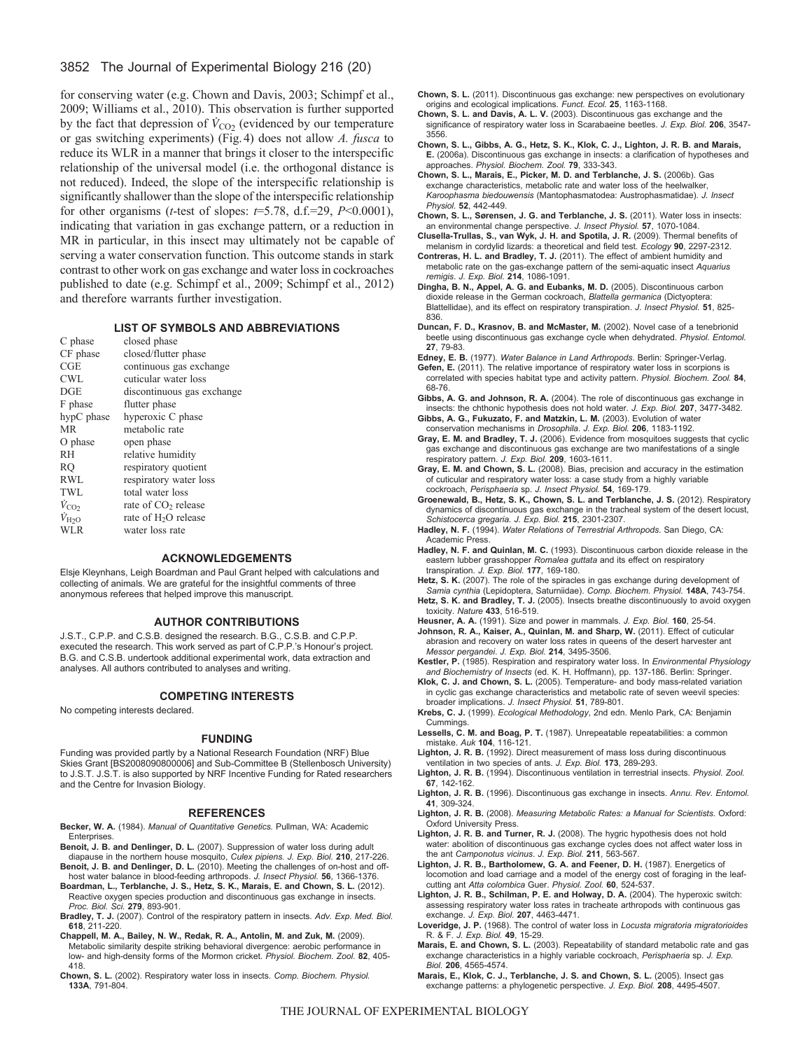## 3852 The Journal of Experimental Biology 216 (20)

for conserving water (e.g. Chown and Davis, 2003; Schimpf et al., 2009; Williams et al., 2010). This observation is further supported by the fact that depression of  $\dot{V}_{\text{CO}_2}$  (evidenced by our temperature or gas switching experiments) (Fig.4) does not allow *A. fusca* to reduce its WLR in a manner that brings it closer to the interspecific relationship of the universal model (i.e. the orthogonal distance is not reduced). Indeed, the slope of the interspecific relationship is significantly shallower than the slope of the interspecific relationship for other organisms (*t*-test of slopes: *t*=5.78, d.f.=29, *P*<0.0001), indicating that variation in gas exchange pattern, or a reduction in MR in particular, in this insect may ultimately not be capable of serving a water conservation function. This outcome stands in stark contrast to other work on gas exchange and water loss in cockroaches published to date (e.g. Schimpf et al., 2009; Schimpf et al., 2012) and therefore warrants further investigation.

#### **LIST OF SYMBOLS AND ABBREVIATIONS**

| C phase | closed phase |
|---------|--------------|
|         |              |

| CF phase             | closed/flutter phase            |
|----------------------|---------------------------------|
| CGE                  | continuous gas exchange         |
| <b>CWL</b>           | cuticular water loss            |
| DGE                  | discontinuous gas exchange      |
| F phase              | flutter phase                   |
| hypC phase           | hyperoxic C phase               |
| <b>MR</b>            | metabolic rate                  |
| O phase              | open phase                      |
| RH                   | relative humidity               |
| RO                   | respiratory quotient            |
| RWL                  | respiratory water loss          |
| TWL                  | total water loss                |
| $\dot{V}_{\rm CO_2}$ | rate of CO <sub>2</sub> release |
| $\dot{V}_{\rm{H2O}}$ | rate of $H_2O$ release          |
| <b>WLR</b>           | water loss rate                 |

#### **ACKNOWLEDGEMENTS**

Elsje Kleynhans, Leigh Boardman and Paul Grant helped with calculations and collecting of animals. We are grateful for the insightful comments of three anonymous referees that helped improve this manuscript.

## **AUTHOR CONTRIBUTIONS**

J.S.T., C.P.P. and C.S.B. designed the research. B.G., C.S.B. and C.P.P. executed the research. This work served as part of C.P.P.'s Honour's project. B.G. and C.S.B. undertook additional experimental work, data extraction and analyses. All authors contributed to analyses and writing.

#### **COMPETING INTERESTS**

No competing interests declared.

#### **FUNDING**

Funding was provided partly by a National Research Foundation (NRF) Blue Skies Grant [BS2008090800006] and Sub-Committee B (Stellenbosch University) to J.S.T. J.S.T. is also supported by NRF Incentive Funding for Rated researchers and the Centre for Invasion Biology.

#### **REFERENCES**

**Becker, W. A.** (1984). *Manual of Quantitative Genetics.* Pullman, WA: Academic Enterprises.

- **Benoit, J. B. and Denlinger, D. L.** (2007). Suppression of water loss during adult diapause in the northern house mosquito, *Culex pipiens. J. Exp. Biol.* **210**, 217-226.
- **Benoit, J. B. and Denlinger, D. L.** (2010). Meeting the challenges of on-host and offhost water balance in blood-feeding arthropods. *J. Insect Physiol.* **56**, 1366-1376. **Boardman, L., Terblanche, J. S., Hetz, S. K., Marais, E. and Chown, S. L.** (2012).
- Reactive oxygen species production and discontinuous gas exchange in insects. *Proc. Biol. Sci.* **279**, 893-901.
- **Bradley, T. J.** (2007). Control of the respiratory pattern in insects. *Adv. Exp. Med. Biol.* **618**, 211-220.

**Chappell, M. A., Bailey, N. W., Redak, R. A., Antolin, M. and Zuk, M.** (2009). Metabolic similarity despite striking behavioral divergence: aerobic performance in low- and high-density forms of the Mormon cricket. *Physiol. Biochem. Zool.* **82**, 405- 418.

**Chown, S. L.** (2002). Respiratory water loss in insects. *Comp. Biochem. Physiol.* **133A**, 791-804.

**Chown, S. L.** (2011). Discontinuous gas exchange: new perspectives on evolutionary origins and ecological implications. *Funct. Ecol.* **25**, 1163-1168.

- **Chown, S. L. and Davis, A. L. V.** (2003). Discontinuous gas exchange and the significance of respiratory water loss in Scarabaeine beetles. *J. Exp. Biol.* **206**, 3547- 3556.
- **Chown, S. L., Gibbs, A. G., Hetz, S. K., Klok, C. J., Lighton, J. R. B. and Marais, E.** (2006a). Discontinuous gas exchange in insects: a clarification of hypotheses and approaches. *Physiol. Biochem. Zool.* **79**, 333-343.
- **Chown, S. L., Marais, E., Picker, M. D. and Terblanche, J. S.** (2006b). Gas exchange characteristics, metabolic rate and water loss of the heelwalker, *Karoophasma biedouwensis* (Mantophasmatodea: Austrophasmatidae). *J. Insect Physiol.* **52**, 442-449.
- **Chown, S. L., Sørensen, J. G. and Terblanche, J. S.** (2011). Water loss in insects: an environmental change perspective. *J. Insect Physiol.* **57**, 1070-1084.
- **Clusella-Trullas, S., van Wyk, J. H. and Spotila, J. R.** (2009). Thermal benefits of melanism in cordylid lizards: a theoretical and field test. *Ecology* **90**, 2297-2312. **Contreras, H. L. and Bradley, T. J.** (2011). The effect of ambient humidity and
- metabolic rate on the gas-exchange pattern of the semi-aquatic insect *Aquarius remigis*. *J. Exp. Biol.* **214**, 1086-1091.
- **Dingha, B. N., Appel, A. G. and Eubanks, M. D.** (2005). Discontinuous carbon dioxide release in the German cockroach, *Blattella germanica* (Dictyoptera: Blattellidae), and its effect on respiratory transpiration. *J. Insect Physiol.* **51**, 825- 836.
- **Duncan, F. D., Krasnov, B. and McMaster, M.** (2002). Novel case of a tenebrionid beetle using discontinuous gas exchange cycle when dehydrated. *Physiol. Entomol.* **27**, 79-83.
- **Edney, E. B.** (1977). *Water Balance in Land Arthropods*. Berlin: Springer-Verlag.
- **Gefen, E.** (2011). The relative importance of respiratory water loss in scorpions is correlated with species habitat type and activity pattern. *Physiol. Biochem. Zool.* **84**, 68-76.
- **Gibbs, A. G. and Johnson, R. A.** (2004). The role of discontinuous gas exchange in insects: the chthonic hypothesis does not hold water. *J. Exp. Biol.* **207**, 3477-3482.
- **Gibbs, A. G., Fukuzato, F. and Matzkin, L. M.** (2003). Evolution of water conservation mechanisms in *Drosophila*. *J. Exp. Biol.* **206**, 1183-1192.
- **Gray, E. M. and Bradley, T. J.** (2006). Evidence from mosquitoes suggests that cyclic gas exchange and discontinuous gas exchange are two manifestations of a single respiratory pattern. *J. Exp. Biol.* **209**, 1603-1611.
- **Gray, E. M. and Chown, S. L.** (2008). Bias, precision and accuracy in the estimation of cuticular and respiratory water loss: a case study from a highly variable cockroach, *Perisphaeria* sp. *J. Insect Physiol.* **54**, 169-179.
- **Groenewald, B., Hetz, S. K., Chown, S. L. and Terblanche, J. S.** (2012). Respiratory dynamics of discontinuous gas exchange in the tracheal system of the desert locust, *Schistocerca gregaria. J. Exp. Biol.* **215**, 2301-2307.
- **Hadley, N. F.** (1994). *Water Relations of Terrestrial Arthropods*. San Diego, CA: Academic Press.
- **Hadley, N. F. and Quinlan, M. C.** (1993). Discontinuous carbon dioxide release in the eastern lubber grasshopper *Romalea guttata* and its effect on respiratory transpiration. *J. Exp. Biol.* **177**, 169-180.
- **Hetz, S. K.** (2007). The role of the spiracles in gas exchange during development of *Samia cynthia* (Lepidoptera, Saturniidae). *Comp. Biochem. Physiol.* **148A**, 743-754.
- Hetz, S. K. and Bradley, T. J. (2005). Insects breathe discontinuously to avoid oxygen toxicity. *Nature* **433**, 516-519.
- **Heusner, A. A.** (1991). Size and power in mammals. *J. Exp. Biol.* **160**, 25-54.
- **Johnson, R. A., Kaiser, A., Quinlan, M. and Sharp, W.** (2011). Effect of cuticular abrasion and recovery on water loss rates in queens of the desert harvester ant *Messor pergandei*. *J. Exp. Biol.* **214**, 3495-3506.
- **Kestler, P.** (1985). Respiration and respiratory water loss. In *Environmental Physiology and Biochemistry of Insects* (ed. K. H. Hoffmann), pp. 137-186. Berlin: Springer.
- **Klok, C. J. and Chown, S. L.** (2005). Temperature- and body mass-related variation in cyclic gas exchange characteristics and metabolic rate of seven weevil species: broader implications. *J. Insect Physiol.* **51**, 789-801.
- **Krebs, C. J.** (1999). *Ecological Methodology*, 2nd edn. Menlo Park, CA: Benjamin **Cummings**
- **Lessells, C. M. and Boag, P. T.** (1987). Unrepeatable repeatabilities: a common mistake. *Auk* **104**, 116-121.
- **Lighton, J. R. B.** (1992). Direct measurement of mass loss during discontinuous ventilation in two species of ants. *J. Exp. Biol.* **173**, 289-293.
- **Lighton, J. R. B.** (1994). Discontinuous ventilation in terrestrial insects. *Physiol. Zool.* **67**, 142-162.
- **Lighton, J. R. B.** (1996). Discontinuous gas exchange in insects. *Annu. Rev. Entomol.* **41**, 309-324.
- **Lighton, J. R. B.** (2008). *Measuring Metabolic Rates: a Manual for Scientists*. Oxford: Oxford University Press.
- **Lighton, J. R. B. and Turner, R. J.** (2008). The hygric hypothesis does not hold water: abolition of discontinuous gas exchange cycles does not affect water loss in the ant *Camponotus vicinus*. *J. Exp. Biol.* **211**, 563-567.
- **Lighton, J. R. B., Bartholomew, G. A. and Feener, D. H.** (1987). Energetics of locomotion and load carriage and a model of the energy cost of foraging in the leafcutting ant *Atta colombica* Guer. *Physiol. Zool.* **60**, 524-537.
- **Lighton, J. R. B., Schilman, P. E. and Holway, D. A.** (2004). The hyperoxic switch: assessing respiratory water loss rates in tracheate arthropods with continuous gas exchange. *J. Exp. Biol.* **207**, 4463-4471.
- **Loveridge, J. P.** (1968). The control of water loss in *Locusta migratoria migratorioides* R. & F. *J. Exp. Biol.* **49**, 15-29.
- **Marais, E. and Chown, S. L.** (2003). Repeatability of standard metabolic rate and gas exchange characteristics in a highly variable cockroach, *Perisphaeria* sp. *J. Exp. Biol.* **206**, 4565-4574.
- **Marais, E., Klok, C. J., Terblanche, J. S. and Chown, S. L.** (2005). Insect gas exchange patterns: a phylogenetic perspective. *J. Exp. Biol.* **208**, 4495-4507.